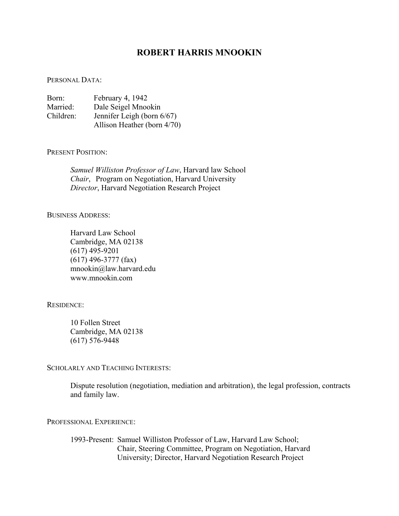# **ROBERT HARRIS MNOOKIN**

### PERSONAL DATA:

| Born:     | February 4, 1942                                          |
|-----------|-----------------------------------------------------------|
| Married:  | Dale Seigel Mnookin                                       |
| Children: | Jennifer Leigh (born 6/67)<br>Allison Heather (born 4/70) |

### PRESENT POSITION:

*Samuel Williston Professor of Law*, Harvard law School *Chair*, Program on Negotiation, Harvard University *Director*, Harvard Negotiation Research Project

### BUSINESS ADDRESS:

 Harvard Law School Cambridge, MA 02138 (617) 495-9201 (617) 496-3777 (fax) mnookin@law.harvard.edu www.mnookin.com

## RESIDENCE:

10 Follen Street Cambridge, MA 02138 (617) 576-9448

### SCHOLARLY AND TEACHING INTERESTS:

Dispute resolution (negotiation, mediation and arbitration), the legal profession, contracts and family law.

### PROFESSIONAL EXPERIENCE:

 1993-Present: Samuel Williston Professor of Law, Harvard Law School; Chair, Steering Committee, Program on Negotiation, Harvard University; Director, Harvard Negotiation Research Project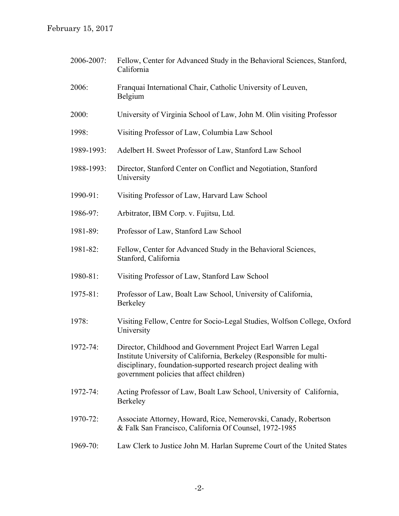February 15, 2017

| 2006-2007: | Fellow, Center for Advanced Study in the Behavioral Sciences, Stanford,<br>California                                                                                                                                                                 |
|------------|-------------------------------------------------------------------------------------------------------------------------------------------------------------------------------------------------------------------------------------------------------|
| 2006:      | Franquai International Chair, Catholic University of Leuven,<br>Belgium                                                                                                                                                                               |
| 2000:      | University of Virginia School of Law, John M. Olin visiting Professor                                                                                                                                                                                 |
| 1998:      | Visiting Professor of Law, Columbia Law School                                                                                                                                                                                                        |
| 1989-1993: | Adelbert H. Sweet Professor of Law, Stanford Law School                                                                                                                                                                                               |
| 1988-1993: | Director, Stanford Center on Conflict and Negotiation, Stanford<br>University                                                                                                                                                                         |
| 1990-91:   | Visiting Professor of Law, Harvard Law School                                                                                                                                                                                                         |
| 1986-97:   | Arbitrator, IBM Corp. v. Fujitsu, Ltd.                                                                                                                                                                                                                |
| 1981-89:   | Professor of Law, Stanford Law School                                                                                                                                                                                                                 |
| 1981-82:   | Fellow, Center for Advanced Study in the Behavioral Sciences,<br>Stanford, California                                                                                                                                                                 |
| 1980-81:   | Visiting Professor of Law, Stanford Law School                                                                                                                                                                                                        |
| 1975-81:   | Professor of Law, Boalt Law School, University of California,<br>Berkeley                                                                                                                                                                             |
| 1978:      | Visiting Fellow, Centre for Socio-Legal Studies, Wolfson College, Oxford<br>University                                                                                                                                                                |
| 1972-74:   | Director, Childhood and Government Project Earl Warren Legal<br>Institute University of California, Berkeley (Responsible for multi-<br>disciplinary, foundation-supported research project dealing with<br>government policies that affect children) |
| 1972-74:   | Acting Professor of Law, Boalt Law School, University of California,<br>Berkeley                                                                                                                                                                      |
| 1970-72:   | Associate Attorney, Howard, Rice, Nemerovski, Canady, Robertson<br>& Falk San Francisco, California Of Counsel, 1972-1985                                                                                                                             |
| 1969-70:   | Law Clerk to Justice John M. Harlan Supreme Court of the United States                                                                                                                                                                                |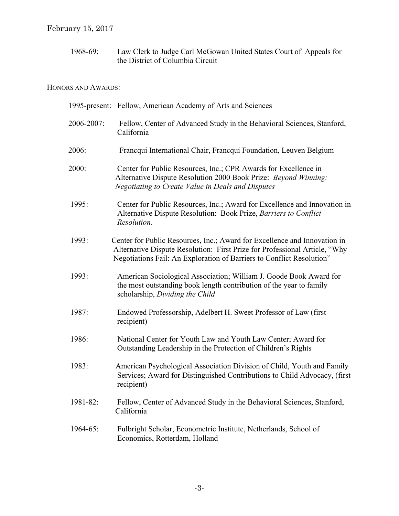1968-69: Law Clerk to Judge Carl McGowan United States Court of Appeals for the District of Columbia Circuit

# HONORS AND AWARDS:

|            | 1995-present: Fellow, American Academy of Arts and Sciences                                                                                                                                                                      |
|------------|----------------------------------------------------------------------------------------------------------------------------------------------------------------------------------------------------------------------------------|
| 2006-2007: | Fellow, Center of Advanced Study in the Behavioral Sciences, Stanford,<br>California                                                                                                                                             |
| 2006:      | Francqui International Chair, Francqui Foundation, Leuven Belgium                                                                                                                                                                |
| 2000:      | Center for Public Resources, Inc.; CPR Awards for Excellence in<br>Alternative Dispute Resolution 2000 Book Prize: Beyond Winning:<br>Negotiating to Create Value in Deals and Disputes                                          |
| 1995:      | Center for Public Resources, Inc.; Award for Excellence and Innovation in<br>Alternative Dispute Resolution: Book Prize, Barriers to Conflict<br>Resolution.                                                                     |
| 1993:      | Center for Public Resources, Inc.; Award for Excellence and Innovation in<br>Alternative Dispute Resolution: First Prize for Professional Article, "Why<br>Negotiations Fail: An Exploration of Barriers to Conflict Resolution" |
| 1993:      | American Sociological Association; William J. Goode Book Award for<br>the most outstanding book length contribution of the year to family<br>scholarship, Dividing the Child                                                     |
| 1987:      | Endowed Professorship, Adelbert H. Sweet Professor of Law (first)<br>recipient)                                                                                                                                                  |
| 1986:      | National Center for Youth Law and Youth Law Center; Award for<br>Outstanding Leadership in the Protection of Children's Rights                                                                                                   |
| 1983:      | American Psychological Association Division of Child, Youth and Family<br>Services; Award for Distinguished Contributions to Child Advocacy, (first<br>recipient)                                                                |
| 1981-82:   | Fellow, Center of Advanced Study in the Behavioral Sciences, Stanford,<br>California                                                                                                                                             |
| 1964-65:   | Fulbright Scholar, Econometric Institute, Netherlands, School of<br>Economics, Rotterdam, Holland                                                                                                                                |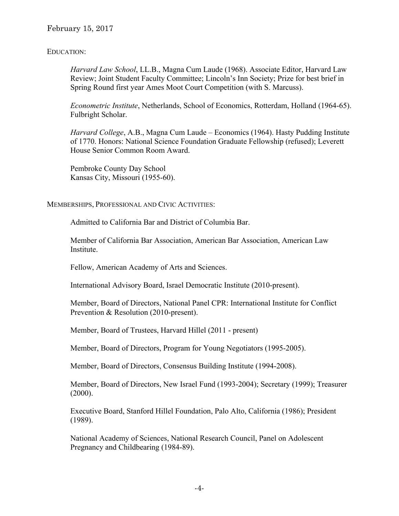## February 15, 2017

## EDUCATION:

*Harvard Law School*, LL.B., Magna Cum Laude (1968). Associate Editor, Harvard Law Review; Joint Student Faculty Committee; Lincoln's Inn Society; Prize for best brief in Spring Round first year Ames Moot Court Competition (with S. Marcuss).

*Econometric Institute*, Netherlands, School of Economics, Rotterdam, Holland (1964-65). Fulbright Scholar.

*Harvard College*, A.B., Magna Cum Laude – Economics (1964). Hasty Pudding Institute of 1770. Honors: National Science Foundation Graduate Fellowship (refused); Leverett House Senior Common Room Award.

 Pembroke County Day School Kansas City, Missouri (1955-60).

MEMBERSHIPS, PROFESSIONAL AND CIVIC ACTIVITIES:

Admitted to California Bar and District of Columbia Bar.

 Member of California Bar Association, American Bar Association, American Law Institute.

Fellow, American Academy of Arts and Sciences.

International Advisory Board, Israel Democratic Institute (2010-present).

 Member, Board of Directors, National Panel CPR: International Institute for Conflict Prevention & Resolution (2010-present).

Member, Board of Trustees, Harvard Hillel (2011 - present)

Member, Board of Directors, Program for Young Negotiators (1995-2005).

Member, Board of Directors, Consensus Building Institute (1994-2008).

Member, Board of Directors, New Israel Fund (1993-2004); Secretary (1999); Treasurer  $(2000).$ 

Executive Board, Stanford Hillel Foundation, Palo Alto, California (1986); President (1989).

National Academy of Sciences, National Research Council, Panel on Adolescent Pregnancy and Childbearing (1984-89).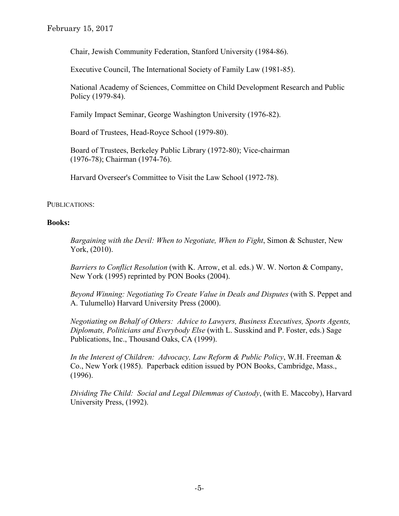February 15, 2017

Chair, Jewish Community Federation, Stanford University (1984-86).

Executive Council, The International Society of Family Law (1981-85).

National Academy of Sciences, Committee on Child Development Research and Public Policy (1979-84).

Family Impact Seminar, George Washington University (1976-82).

Board of Trustees, Head-Royce School (1979-80).

Board of Trustees, Berkeley Public Library (1972-80); Vice-chairman (1976-78); Chairman (1974-76).

Harvard Overseer's Committee to Visit the Law School (1972-78).

## PUBLICATIONS:

## **Books:**

*Bargaining with the Devil: When to Negotiate, When to Fight*, Simon & Schuster, New York, (2010).

 *Barriers to Conflict Resolution* (with K. Arrow, et al. eds.) W. W. Norton & Company, New York (1995) reprinted by PON Books (2004).

 *Beyond Winning: Negotiating To Create Value in Deals and Disputes* (with S. Peppet and A. Tulumello) Harvard University Press (2000).

*Negotiating on Behalf of Others: Advice to Lawyers, Business Executives, Sports Agents, Diplomats, Politicians and Everybody Else* (with L. Susskind and P. Foster, eds.) Sage Publications, Inc., Thousand Oaks, CA (1999).

 *In the Interest of Children: Advocacy, Law Reform & Public Policy*, W.H. Freeman & Co., New York (1985). Paperback edition issued by PON Books, Cambridge, Mass., (1996).

*Dividing The Child: Social and Legal Dilemmas of Custody*, (with E. Maccoby), Harvard University Press, (1992).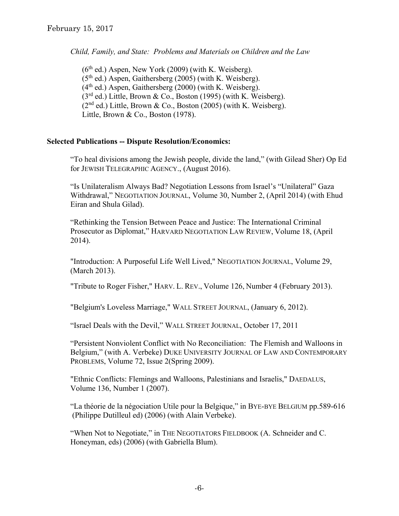*Child, Family, and State: Problems and Materials on Children and the Law* 

 $(6<sup>th</sup>$  ed.) Aspen, New York (2009) (with K. Weisberg).  $(5<sup>th</sup>$  ed.) Aspen, Gaithersberg (2005) (with K. Weisberg).  $(4<sup>th</sup>$  ed.) Aspen, Gaithersberg (2000) (with K. Weisberg).  $(3<sup>rd</sup>$  ed.) Little, Brown & Co., Boston (1995) (with K. Weisberg).  $(2<sup>nd</sup>$  ed.) Little, Brown & Co., Boston (2005) (with K. Weisberg). Little, Brown & Co., Boston (1978).

## **Selected Publications -- Dispute Resolution/Economics:**

"To heal divisions among the Jewish people, divide the land," (with Gilead Sher) Op Ed for JEWISH TELEGRAPHIC AGENCY., (August 2016).

"Is Unilateralism Always Bad? Negotiation Lessons from Israel's "Unilateral" Gaza Withdrawal," NEGOTIATION JOURNAL, Volume 30, Number 2, (April 2014) (with Ehud Eiran and Shula Gilad).

"Rethinking the Tension Between Peace and Justice: The International Criminal Prosecutor as Diplomat," HARVARD NEGOTIATION LAW REVIEW, Volume 18, (April 2014).

"Introduction: A Purposeful Life Well Lived," NEGOTIATION JOURNAL, Volume 29, (March 2013).

"Tribute to Roger Fisher," HARV. L. REV., Volume 126, Number 4 (February 2013).

"Belgium's Loveless Marriage," WALL STREET JOURNAL, (January 6, 2012).

"Israel Deals with the Devil," WALL STREET JOURNAL, October 17, 2011

"Persistent Nonviolent Conflict with No Reconciliation: The Flemish and Walloons in Belgium," (with A. Verbeke) DUKE UNIVERSITY JOURNAL OF LAW AND CONTEMPORARY PROBLEMS, Volume 72, Issue 2(Spring 2009).

"Ethnic Conflicts: Flemings and Walloons, Palestinians and Israelis," DAEDALUS, Volume 136, Number 1 (2007).

 "La théorie de la négociation Utile pour la Belgique," in BYE-BYE BELGIUM pp.589-616 (Philippe Dutilleul ed) (2006) (with Alain Verbeke).

"When Not to Negotiate," in THE NEGOTIATORS FIELDBOOK (A. Schneider and C. Honeyman, eds) (2006) (with Gabriella Blum).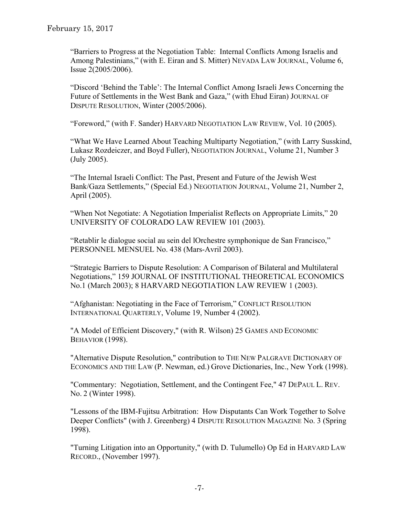"Barriers to Progress at the Negotiation Table: Internal Conflicts Among Israelis and Among Palestinians," (with E. Eiran and S. Mitter) NEVADA LAW JOURNAL, Volume 6, Issue 2(2005/2006).

"Discord 'Behind the Table': The Internal Conflict Among Israeli Jews Concerning the Future of Settlements in the West Bank and Gaza," (with Ehud Eiran) JOURNAL OF DISPUTE RESOLUTION, Winter (2005/2006).

"Foreword," (with F. Sander) HARVARD NEGOTIATION LAW REVIEW, Vol. 10 (2005).

"What We Have Learned About Teaching Multiparty Negotiation," (with Larry Susskind, Lukasz Rozdeiczer, and Boyd Fuller), NEGOTIATION JOURNAL, Volume 21, Number 3 (July 2005).

"The Internal Israeli Conflict: The Past, Present and Future of the Jewish West Bank/Gaza Settlements," (Special Ed.) NEGOTIATION JOURNAL, Volume 21, Number 2, April (2005).

"When Not Negotiate: A Negotiation Imperialist Reflects on Appropriate Limits," 20 UNIVERSITY OF COLORADO LAW REVIEW 101 (2003).

"Retablir le dialogue social au sein del lOrchestre symphonique de San Francisco," PERSONNEL MENSUEL No. 438 (Mars-Avril 2003).

"Strategic Barriers to Dispute Resolution: A Comparison of Bilateral and Multilateral Negotiations," 159 JOURNAL OF INSTITUTIONAL THEORETICAL ECONOMICS No.1 (March 2003); 8 HARVARD NEGOTIATION LAW REVIEW 1 (2003).

"Afghanistan: Negotiating in the Face of Terrorism," CONFLICT RESOLUTION INTERNATIONAL QUARTERLY, Volume 19, Number 4 (2002).

 "A Model of Efficient Discovery," (with R. Wilson) 25 GAMES AND ECONOMIC BEHAVIOR (1998).

 "Alternative Dispute Resolution," contribution to THE NEW PALGRAVE DICTIONARY OF ECONOMICS AND THE LAW (P. Newman, ed.) Grove Dictionaries, Inc., New York (1998).

 "Commentary: Negotiation, Settlement, and the Contingent Fee," 47 DEPAUL L. REV. No. 2 (Winter 1998).

 "Lessons of the IBM-Fujitsu Arbitration: How Disputants Can Work Together to Solve Deeper Conflicts" (with J. Greenberg) 4 DISPUTE RESOLUTION MAGAZINE No. 3 (Spring 1998).

"Turning Litigation into an Opportunity," (with D. Tulumello) Op Ed in HARVARD LAW RECORD., (November 1997).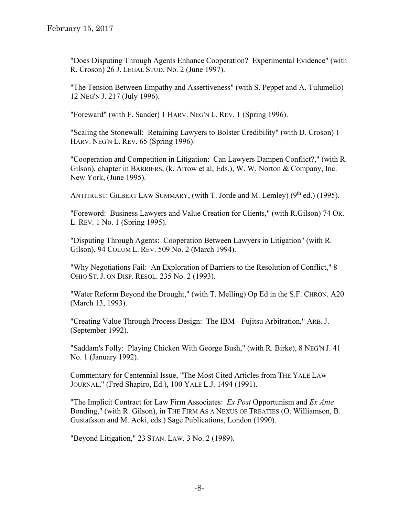"Does Disputing Through Agents Enhance Cooperation? Experimental Evidence" (with R. Croson) 26 J. LEGAL STUD. No. 2 (June 1997).

 "The Tension Between Empathy and Assertiveness" (with S. Peppet and A. Tulumello) 12 NEG'N J. 217 (July 1996).

"Foreward" (with F. Sander) 1 HARV. NEG'N L. REV. 1 (Spring 1996).

 "Scaling the Stonewall: Retaining Lawyers to Bolster Credibility" (with D. Croson) 1 HARV. NEG'N L. REV. 65 (Spring 1996).

 "Cooperation and Competition in Litigation: Can Lawyers Dampen Conflict?," (with R. Gilson), chapter in BARRIERS, (k. Arrow et al, Eds.), W. W. Norton & Company, Inc. New York, (June 1995).

ANTITRUST: GILBERT LAW SUMMARY, (with T. Jorde and M. Lemley)  $(9<sup>th</sup>$  ed.) (1995).

 "Foreword: Business Lawyers and Value Creation for Clients," (with R.Gilson) 74 OR. L. REV. 1 No. 1 (Spring 1995).

 "Disputing Through Agents: Cooperation Between Lawyers in Litigation" (with R. Gilson), 94 COLUM L. REV. 509 No. 2 (March 1994).

 "Why Negotiations Fail: An Exploration of Barriers to the Resolution of Conflict," 8 OHIO ST. J. ON DISP. RESOL. 235 No. 2 (1993).

 "Water Reform Beyond the Drought," (with T. Melling) Op Ed in the S.F. CHRON. A20 (March 13, 1993).

 "Creating Value Through Process Design: The IBM - Fujitsu Arbitration," ARB. J. (September 1992).

"Saddam's Folly: Playing Chicken With George Bush," (with R. Birke), 8 NEG'N J. 41 No. 1 (January 1992).

Commentary for Centennial Issue, "The Most Cited Articles from THE YALE LAW JOURNAL," (Fred Shapiro, Ed.), 100 YALE L.J. 1494 (1991).

"The Implicit Contract for Law Firm Associates: *Ex Post* Opportunism and *Ex Ante* Bonding," (with R. Gilson), in THE FIRM AS A NEXUS OF TREATIES (O. Williamson, B. Gustafsson and M. Aoki, eds.) Sage Publications, London (1990).

"Beyond Litigation," 23 STAN. LAW. 3 No. 2 (1989).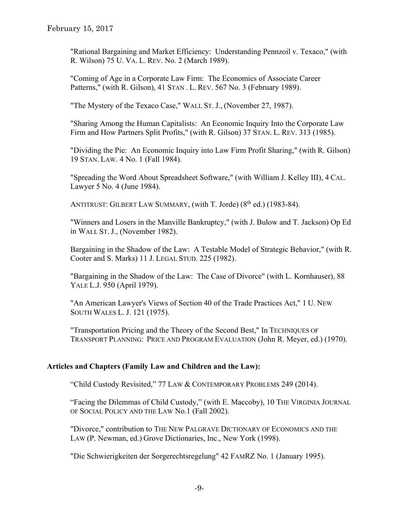"Rational Bargaining and Market Efficiency: Understanding Pennzoil v. Texaco," (with R. Wilson) 75 U. VA. L. REV. No. 2 (March 1989).

 "Coming of Age in a Corporate Law Firm: The Economics of Associate Career Patterns," (with R. Gilson), 41 STAN. L. REV. 567 No. 3 (February 1989).

"The Mystery of the Texaco Case," WALL ST. J., (November 27, 1987).

 "Sharing Among the Human Capitalists: An Economic Inquiry Into the Corporate Law Firm and How Partners Split Profits," (with R. Gilson) 37 STAN. L. REV. 313 (1985).

 "Dividing the Pie: An Economic Inquiry into Law Firm Profit Sharing," (with R. Gilson) 19 STAN. LAW. 4 No. 1 (Fall 1984).

 "Spreading the Word About Spreadsheet Software," (with William J. Kelley III), 4 CAL. Lawyer 5 No. 4 (June 1984).

ANTITRUST: GILBERT LAW SUMMARY, (with T. Jorde)  $(8<sup>th</sup>$  ed.) (1983-84).

 "Winners and Losers in the Manville Bankruptcy," (with J. Bulow and T. Jackson) Op Ed in WALL ST. J., (November 1982).

 Bargaining in the Shadow of the Law: A Testable Model of Strategic Behavior," (with R. Cooter and S. Marks) 11 J. LEGAL STUD. 225 (1982).

 "Bargaining in the Shadow of the Law: The Case of Divorce" (with L. Kornhauser), 88 YALE L.J. 950 (April 1979).

 "An American Lawyer's Views of Section 40 of the Trade Practices Act," 1 U. NEW SOUTH WALES L. J. 121 (1975).

 "Transportation Pricing and the Theory of the Second Best," In TECHNIQUES OF TRANSPORT PLANNING: PRICE AND PROGRAM EVALUATION (John R. Meyer, ed.) (1970).

## **Articles and Chapters (Family Law and Children and the Law):**

"Child Custody Revisited," 77 LAW & CONTEMPORARY PROBLEMS 249 (2014).

"Facing the Dilemmas of Child Custody," (with E. Maccoby), 10 THE VIRGINIA JOURNAL OF SOCIAL POLICY AND THE LAW No.1 (Fall 2002).

"Divorce," contribution to THE NEW PALGRAVE DICTIONARY OF ECONOMICS AND THE LAW (P. Newman, ed.) Grove Dictionaries, Inc., New York (1998).

"Die Schwierigkeiten der Sorgerechtsregelung" 42 FAMRZ No. 1 (January 1995).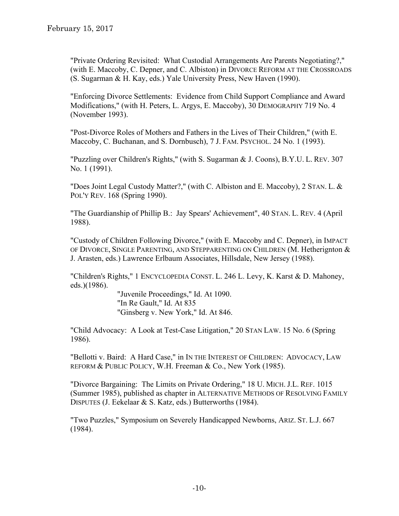"Private Ordering Revisited: What Custodial Arrangements Are Parents Negotiating?," (with E. Maccoby, C. Depner, and C. Albiston) in DIVORCE REFORM AT THE CROSSROADS (S. Sugarman & H. Kay, eds.) Yale University Press, New Haven (1990).

 "Enforcing Divorce Settlements: Evidence from Child Support Compliance and Award Modifications," (with H. Peters, L. Argys, E. Maccoby), 30 DEMOGRAPHY 719 No. 4 (November 1993).

 "Post-Divorce Roles of Mothers and Fathers in the Lives of Their Children," (with E. Maccoby, C. Buchanan, and S. Dornbusch), 7 J. FAM. PSYCHOL. 24 No. 1 (1993).

 "Puzzling over Children's Rights," (with S. Sugarman & J. Coons), B.Y.U. L. REV. 307 No. 1 (1991).

 "Does Joint Legal Custody Matter?," (with C. Albiston and E. Maccoby), 2 STAN. L. & POL'Y REV. 168 (Spring 1990).

 "The Guardianship of Phillip B.: Jay Spears' Achievement", 40 STAN. L. REV. 4 (April 1988).

 "Custody of Children Following Divorce," (with E. Maccoby and C. Depner), in IMPACT OF DIVORCE, SINGLE PARENTING, AND STEPPARENTING ON CHILDREN (M. Hetherignton  $\&$ J. Arasten, eds.) Lawrence Erlbaum Associates, Hillsdale, New Jersey (1988).

 "Children's Rights," 1 ENCYCLOPEDIA CONST. L. 246 L. Levy, K. Karst & D. Mahoney, eds.)(1986).

> "Juvenile Proceedings," Id. At 1090. "In Re Gault," Id. At 835 "Ginsberg v. New York," Id. At 846.

 "Child Advocacy: A Look at Test-Case Litigation," 20 STAN LAW. 15 No. 6 (Spring 1986).

 "Bellotti v. Baird: A Hard Case," in IN THE INTEREST OF CHILDREN: ADVOCACY, LAW REFORM & PUBLIC POLICY, W.H. Freeman & Co., New York (1985).

 "Divorce Bargaining: The Limits on Private Ordering," 18 U. MICH. J.L. REF. 1015 (Summer 1985), published as chapter in ALTERNATIVE METHODS OF RESOLVING FAMILY DISPUTES (J. Eekelaar & S. Katz, eds.) Butterworths (1984).

 "Two Puzzles," Symposium on Severely Handicapped Newborns, ARIZ. ST. L.J. 667 (1984).